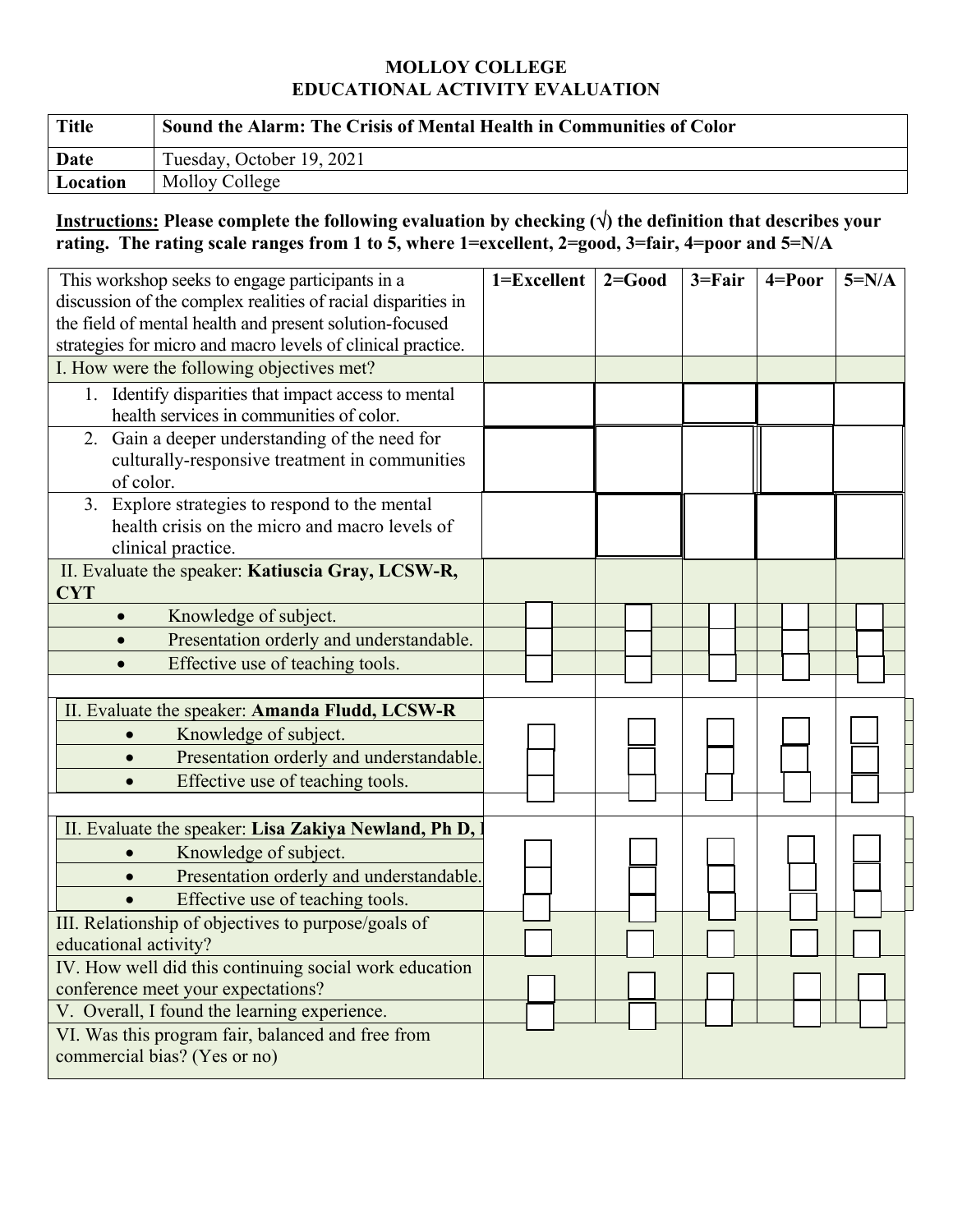## **MOLLOY COLLEGE EDUCATIONAL ACTIVITY EVALUATION**

| <b>Title</b>    | Sound the Alarm: The Crisis of Mental Health in Communities of Color |
|-----------------|----------------------------------------------------------------------|
| Date            | Tuesday, October 19, 2021                                            |
| <b>Location</b> | Molloy College                                                       |

## **Instructions: Please complete the following evaluation by checking () the definition that describes your rating. The rating scale ranges from 1 to 5, where 1=excellent, 2=good, 3=fair, 4=poor and 5=N/A**

| This workshop seeks to engage participants in a<br>discussion of the complex realities of racial disparities in<br>the field of mental health and present solution-focused | 1=Excellent | $2 = Good$ | $3 = Fair$ | $4 = Poor$ | $5=N/A$ |
|----------------------------------------------------------------------------------------------------------------------------------------------------------------------------|-------------|------------|------------|------------|---------|
| strategies for micro and macro levels of clinical practice.                                                                                                                |             |            |            |            |         |
| I. How were the following objectives met?                                                                                                                                  |             |            |            |            |         |
| 1. Identify disparities that impact access to mental<br>health services in communities of color.                                                                           |             |            |            |            |         |
| 2. Gain a deeper understanding of the need for<br>culturally-responsive treatment in communities<br>of color.                                                              |             |            |            |            |         |
| 3. Explore strategies to respond to the mental<br>health crisis on the micro and macro levels of<br>clinical practice.                                                     |             |            |            |            |         |
| II. Evaluate the speaker: Katiuscia Gray, LCSW-R,<br><b>CYT</b>                                                                                                            |             |            |            |            |         |
| Knowledge of subject.<br>$\bullet$                                                                                                                                         |             |            |            |            |         |
| Presentation orderly and understandable.                                                                                                                                   |             |            |            |            |         |
| Effective use of teaching tools.                                                                                                                                           |             |            |            |            |         |
| II. Evaluate the speaker: Amanda Fludd, LCSW-R                                                                                                                             |             |            |            |            |         |
| Knowledge of subject.<br>$\bullet$                                                                                                                                         |             |            |            |            |         |
| Presentation orderly and understandable.                                                                                                                                   |             |            |            |            |         |
| Effective use of teaching tools.<br>$\bullet$                                                                                                                              |             |            |            |            |         |
|                                                                                                                                                                            |             |            |            |            |         |
| II. Evaluate the speaker: Lisa Zakiya Newland, Ph D,                                                                                                                       |             |            |            |            |         |
| Knowledge of subject.                                                                                                                                                      |             |            |            |            |         |
| Presentation orderly and understandable.<br>$\bullet$                                                                                                                      |             |            |            |            |         |
| Effective use of teaching tools.                                                                                                                                           |             |            |            |            |         |
| III. Relationship of objectives to purpose/goals of<br>educational activity?                                                                                               |             |            |            |            |         |
| IV. How well did this continuing social work education                                                                                                                     |             |            |            |            |         |
| conference meet your expectations?                                                                                                                                         |             |            |            |            |         |
| V. Overall, I found the learning experience.                                                                                                                               |             |            |            |            |         |
| VI. Was this program fair, balanced and free from<br>commercial bias? (Yes or no)                                                                                          |             |            |            |            |         |